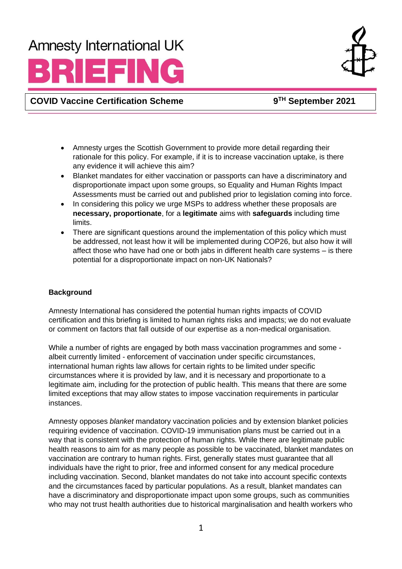## **Amnesty International UK**

# RIEFING



**COVID Vaccine Certification Scheme 9**

**TH September 2021**

- Amnesty urges the Scottish Government to provide more detail regarding their rationale for this policy. For example, if it is to increase vaccination uptake, is there any evidence it will achieve this aim?
- Blanket mandates for either vaccination or passports can have a discriminatory and disproportionate impact upon some groups, so Equality and Human Rights Impact Assessments must be carried out and published prior to legislation coming into force.
- In considering this policy we urge MSPs to address whether these proposals are **necessary, proportionate**, for a **legitimate** aims with **safeguards** including time limits.
- There are significant questions around the implementation of this policy which must be addressed, not least how it will be implemented during COP26, but also how it will affect those who have had one or both jabs in different health care systems – is there potential for a disproportionate impact on non-UK Nationals?

### **Background**

Amnesty International has considered the potential human rights impacts of COVID certification and this briefing is limited to human rights risks and impacts; we do not evaluate or comment on factors that fall outside of our expertise as a non-medical organisation.

While a number of rights are engaged by both mass vaccination programmes and some albeit currently limited - enforcement of vaccination under specific circumstances, international human rights law allows for certain rights to be limited under specific circumstances where it is provided by law, and it is necessary and proportionate to a legitimate aim, including for the protection of public health. This means that there are some limited exceptions that may allow states to impose vaccination requirements in particular instances.

Amnesty opposes *blanket* mandatory vaccination policies and by extension blanket policies requiring evidence of vaccination. COVID-19 immunisation plans must be carried out in a way that is consistent with the protection of human rights. While there are legitimate public health reasons to aim for as many people as possible to be vaccinated, blanket mandates on vaccination are contrary to human rights. First, generally states must guarantee that all individuals have the right to prior, free and informed consent for any medical procedure including vaccination. Second, blanket mandates do not take into account specific contexts and the circumstances faced by particular populations. As a result, blanket mandates can have a discriminatory and disproportionate impact upon some groups, such as communities who may not trust health authorities due to historical marginalisation and health workers who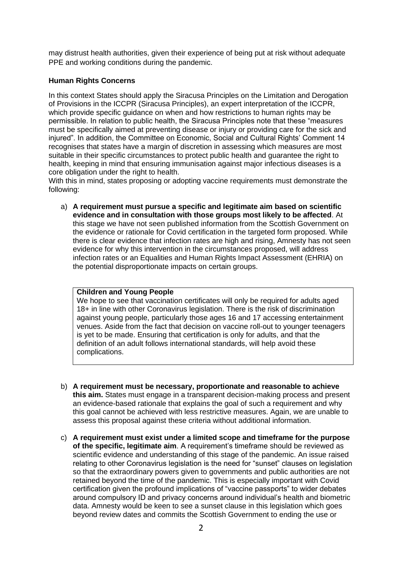may distrust health authorities, given their experience of being put at risk without adequate PPE and working conditions during the pandemic.

#### **Human Rights Concerns**

In this context States should apply the Siracusa Principles on the Limitation and Derogation of Provisions in the ICCPR (Siracusa Principles), an expert interpretation of the ICCPR, which provide specific guidance on when and how restrictions to human rights may be permissible. In relation to public health, the Siracusa Principles note that these "measures must be specifically aimed at preventing disease or injury or providing care for the sick and injured". In addition, the Committee on Economic, Social and Cultural Rights' Comment 14 recognises that states have a margin of discretion in assessing which measures are most suitable in their specific circumstances to protect public health and guarantee the right to health, keeping in mind that ensuring immunisation against major infectious diseases is a core obligation under the right to health.

With this in mind, states proposing or adopting vaccine requirements must demonstrate the following:

a) **A requirement must pursue a specific and legitimate aim based on scientific evidence and in consultation with those groups most likely to be affected**. At this stage we have not seen published information from the Scottish Government on the evidence or rationale for Covid certification in the targeted form proposed. While there is clear evidence that infection rates are high and rising, Amnesty has not seen evidence for why this intervention in the circumstances proposed, will address infection rates or an Equalities and Human Rights Impact Assessment (EHRIA) on the potential disproportionate impacts on certain groups.

#### **Children and Young People**

We hope to see that vaccination certificates will only be required for adults aged 18+ in line with other Coronavirus legislation. There is the risk of discrimination against young people, particularly those ages 16 and 17 accessing entertainment venues. Aside from the fact that decision on vaccine roll-out to younger teenagers is yet to be made. Ensuring that certification is only for adults, and that the definition of an adult follows international standards, will help avoid these complications.

- b) **A requirement must be necessary, proportionate and reasonable to achieve this aim.** States must engage in a transparent decision-making process and present an evidence-based rationale that explains the goal of such a requirement and why this goal cannot be achieved with less restrictive measures. Again, we are unable to assess this proposal against these criteria without additional information.
- c) **A requirement must exist under a limited scope and timeframe for the purpose of the specific, legitimate aim**. A requirement's timeframe should be reviewed as scientific evidence and understanding of this stage of the pandemic. An issue raised relating to other Coronavirus legislation is the need for "sunset" clauses on legislation so that the extraordinary powers given to governments and public authorities are not retained beyond the time of the pandemic. This is especially important with Covid certification given the profound implications of "vaccine passports" to wider debates around compulsory ID and privacy concerns around individual's health and biometric data. Amnesty would be keen to see a sunset clause in this legislation which goes beyond review dates and commits the Scottish Government to ending the use or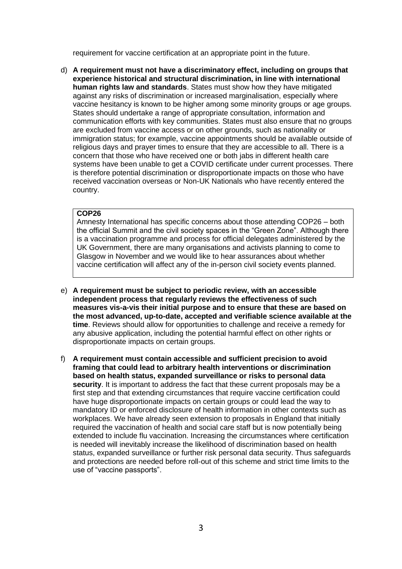requirement for vaccine certification at an appropriate point in the future.

d) **A requirement must not have a discriminatory effect, including on groups that experience historical and structural discrimination, in line with international human rights law and standards**. States must show how they have mitigated against any risks of discrimination or increased marginalisation, especially where vaccine hesitancy is known to be higher among some minority groups or age groups. States should undertake a range of appropriate consultation, information and communication efforts with key communities. States must also ensure that no groups are excluded from vaccine access or on other grounds, such as nationality or immigration status; for example, vaccine appointments should be available outside of religious days and prayer times to ensure that they are accessible to all. There is a concern that those who have received one or both jabs in different health care systems have been unable to get a COVID certificate under current processes. There is therefore potential discrimination or disproportionate impacts on those who have received vaccination overseas or Non-UK Nationals who have recently entered the country.

#### **COP26**

Amnesty International has specific concerns about those attending COP26 – both the official Summit and the civil society spaces in the "Green Zone". Although there is a vaccination programme and process for official delegates administered by the UK Government, there are many organisations and activists planning to come to Glasgow in November and we would like to hear assurances about whether vaccine certification will affect any of the in-person civil society events planned.

- e) **A requirement must be subject to periodic review, with an accessible independent process that regularly reviews the effectiveness of such measures vis-a-vis their initial purpose and to ensure that these are based on the most advanced, up-to-date, accepted and verifiable science available at the time**. Reviews should allow for opportunities to challenge and receive a remedy for any abusive application, including the potential harmful effect on other rights or disproportionate impacts on certain groups.
- f) **A requirement must contain accessible and sufficient precision to avoid framing that could lead to arbitrary health interventions or discrimination based on health status, expanded surveillance or risks to personal data security**. It is important to address the fact that these current proposals may be a first step and that extending circumstances that require vaccine certification could have huge disproportionate impacts on certain groups or could lead the way to mandatory ID or enforced disclosure of health information in other contexts such as workplaces. We have already seen extension to proposals in England that initially required the vaccination of health and social care staff but is now potentially being extended to include flu vaccination. Increasing the circumstances where certification is needed will inevitably increase the likelihood of discrimination based on health status, expanded surveillance or further risk personal data security. Thus safeguards and protections are needed before roll-out of this scheme and strict time limits to the use of "vaccine passports".